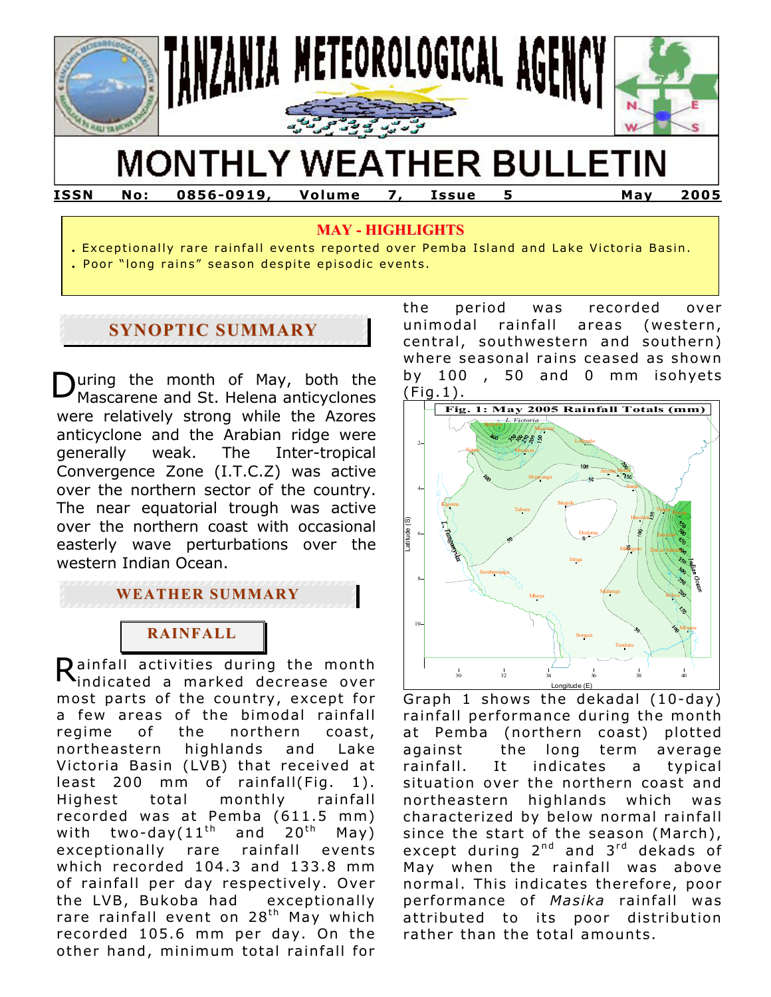

# **MONTHLY WEATHER BULLETIN**

**ISSN No: 0856-0919, Volume 7, Issue 5 May 2005** 

### **MAY - HIGHLIGHTS**

- . Exceptionally rare rainfall events reported over Pemba Island and Lake Victoria Basin.
- . Poor "long rains" season despite episodic events.

# **SYNOPTIC SUMMARY**

During the month of May, both the<br>Mascarene and St. Helena anticyclones were relatively strong while the Azores anticyclone and the Arabian ridge were generally weak. The Inter-tropical Convergence Zone (I.T.C.Z) was active over the northern sector of the country. The near equatorial trough was active over the northern coast with occasional easterly wave perturbations over the western Indian Ocean.

# **WEATHER SUMMARY**

# **RAINFALL**

Rainfall activities during the month<br>Rindicated a marked decrease over most parts of the country, except for a few areas of the bimodal rainfall regime of the northern coast, northeastern highlands and Lake Victoria Basin (LVB) that received at least 200 mm of rainfall(Fig. 1). Highest total monthly rainfall recorded was at Pemba (611.5 mm) with two-day( $11<sup>th</sup>$  and  $20<sup>th</sup>$  May) exceptionally rare rainfall events which recorded 104.3 and 133.8 mm of rainfall per day respectively. Over the LVB, Bukoba had exceptionally rare rainfall event on 28<sup>th</sup> May which recorded 105.6 mm per day. On the other hand, minimum total rainfall for

the period was recorded over unimodal rainfall areas (western, central, southwestern and southern) where seasonal rains ceased as shown by 100 , 50 and 0 mm isohyets (Fig.1) .



Graph 1 shows the dekadal (10-day) rainfall performance during the month at Pemba (northern coast) plotted against the long term average rainfall. It indicates a typical situation over the northern coast and northeastern highlands which was characterized by below normal rainfall since the start of the season (March), except during  $2^{nd}$  and  $3^{rd}$  dekads of May when the rainfall was above normal. This indicates therefore, poor performance of *Masika* rainfall was attributed to its poor distribution rather than the total amounts.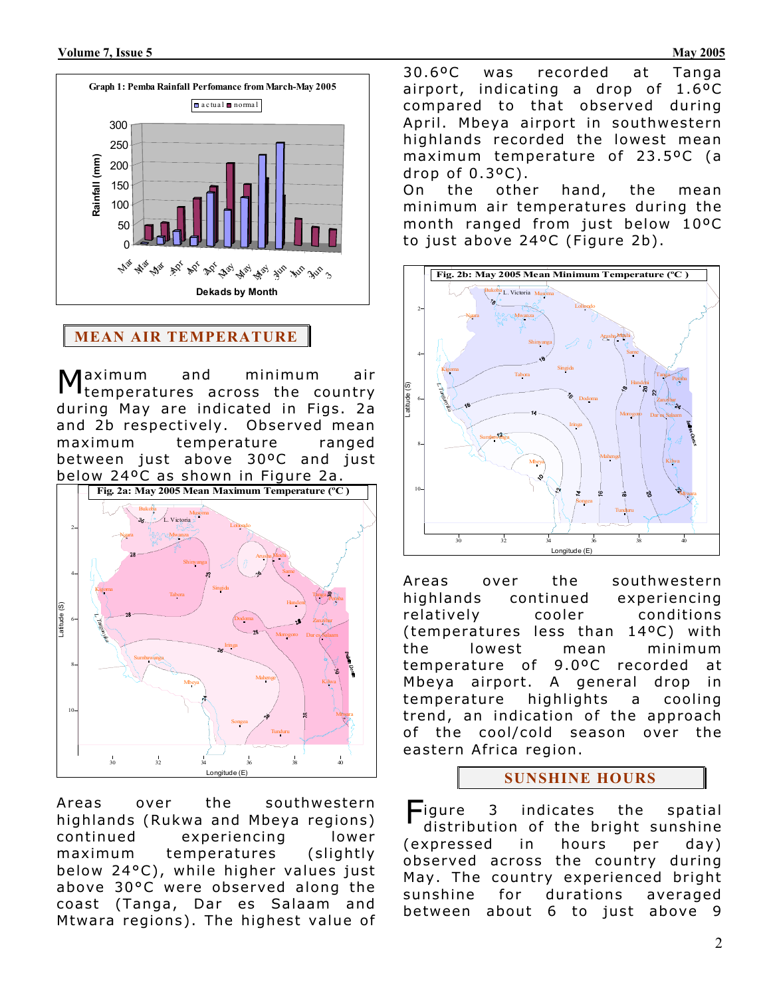

**MEAN AIR TEMPERATURE**

Maximum and minimum air<br>M<sub>temperatures across the country</sub> during May are indicated in Figs. 2a and 2b respectively. Observed mean maximum temperature ranged between just above 30ºC and just below 24ºC as shown in Figure 2a.



Areas over the southwestern highlands (Rukwa and Mbeya regions) continued experiencing lower maximum temperatures (slightly below 24°C), while higher values just above 30°C were observed along the coast (Tanga, Dar es Salaam and Mtwara regions). The highest value of 30.6ºC was recorded at Tanga airport, indicating a drop of  $1.6$ <sup>o</sup>C compared to that observed during April. Mbeya airport in southwestern highlands recorded the lowest mean maximum temperature of 23.5ºC (a drop of  $0.3$ <sup>o</sup> $C$ ).

On the other hand, the mean minimum air temperatures during the month ranged from just below 10ºC to just above 24°C (Figure 2b).



Areas over the southwestern highlands continued experiencing relatively cooler conditions ( temperatures less than 14ºC) with the lowest mean minimum temperature of 9.0ºC recorded at Mbeya airport . A general drop in temperature highlights a cooling trend, an indication of the approach of the cool/cold season over the eastern Africa region.

## **SUNSHINE HOURS**

-igure 3 indicates the spatial distribution of the bright sunshine (expressed in hours per day) observed across the country during May. The country experienced bright sunshine for durations averaged between about 6 to just above 9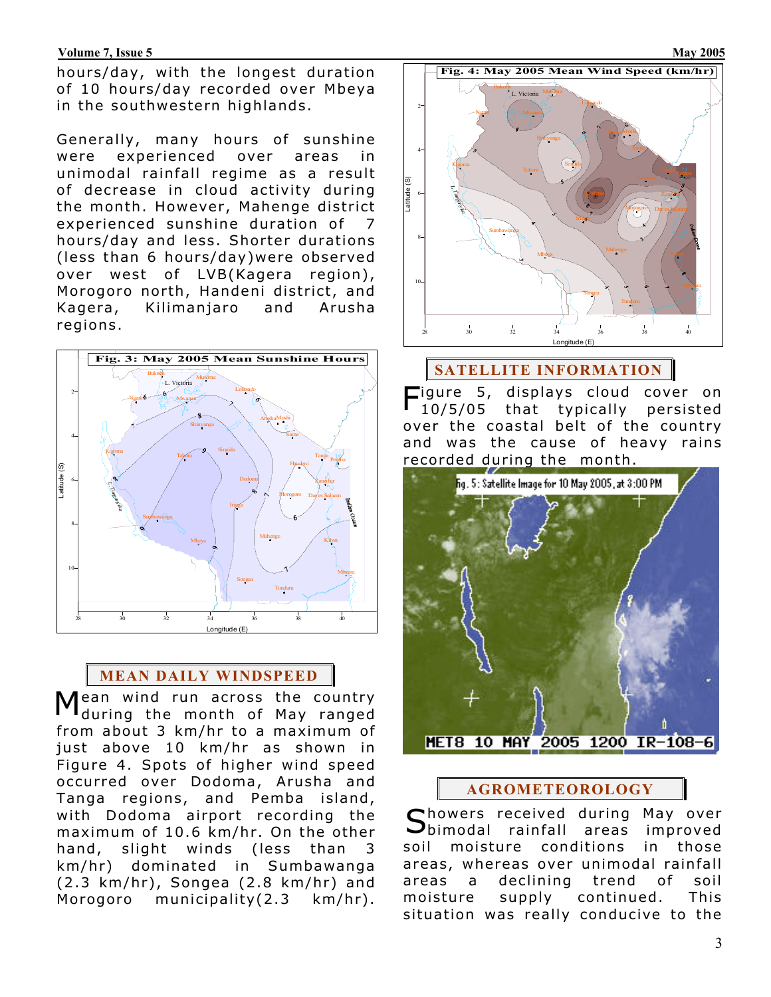#### **Volume 7, Issue 5** May 2005

hours/day, with the longest duration of 10 hours/day recorded over Mbeya in the southwestern highlands.

Generally, many hours of sunshine were experienced over areas in unimodal rainfall regime as a result of decrease in cloud activity during the month. However, Mahenge district experienced sunshine duration of 7 hours/day and less. Shorter durations (less than 6 hours/day)were observed over west of LVB(Kagera region), Morogoro north, Handeni district, and Kagera, Kilimanjaro and Arusha regions.



# **MEAN DAILY WINDSPEED**

ean wind run across the country during the month of May ranged from about 3 km/hr to a maximum of just above 10 km/hr as shown in Figure 4. Spots of higher wind speed occurred over Dodoma, Arusha and Tanga regions, and Pemba island, with Dodoma airport recording the maximum of 10.6 km/hr. On the other hand, slight winds (less than 3 km/hr) dominated in Sumbawanga (2.3 km/hr), Songea (2.8 km/hr) and Morogoro municipality(2.3 km/hr).



# **SATELLITE INFORMATION**

Figure 5, displays cloud cover on 10/5/05 that typically persisted over the coastal belt of the country and was the cause of heavy rains recorded during the month.



# **AGROMETEOROLOGY**

Showers received during May over<br>Sbimodal rainfall areas improved  $\bigcup$ bimodal rainfall areas soil moisture conditions in those areas , whereas over unimodal rainfall areas a declining trend of soil moisture supply continued. This situation was really conducive to the